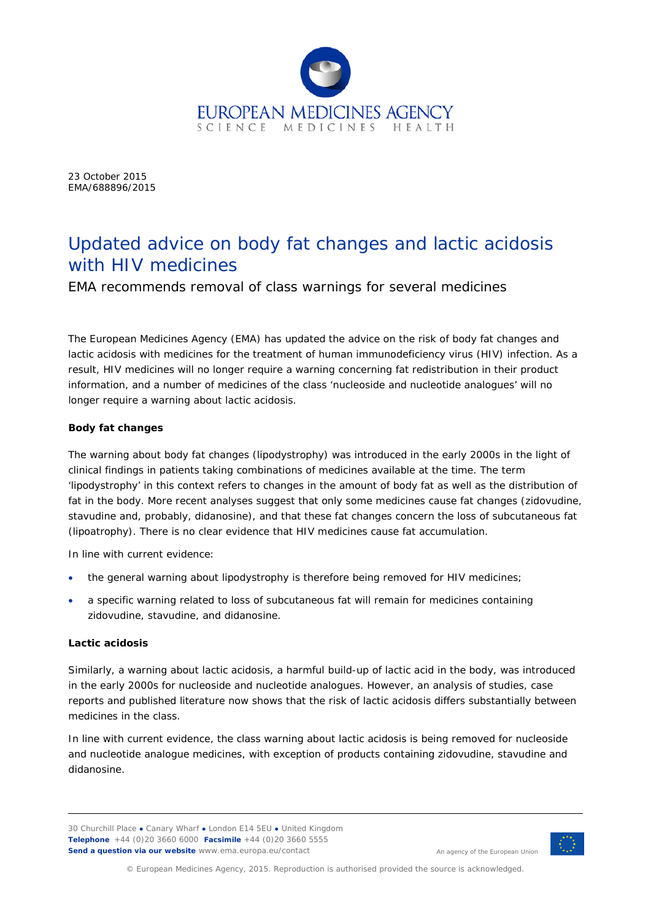

23 October 2015 EMA/688896/2015

# Updated advice on body fat changes and lactic acidosis with HIV medicines

EMA recommends removal of class warnings for several medicines

The European Medicines Agency (EMA) has updated the advice on the risk of body fat changes and lactic acidosis with medicines for the treatment of human immunodeficiency virus (HIV) infection. As a result, HIV medicines will no longer require a warning concerning fat redistribution in their product information, and a number of medicines of the class 'nucleoside and nucleotide analogues' will no longer require a warning about lactic acidosis.

## **Body fat changes**

The warning about body fat changes (lipodystrophy) was introduced in the early 2000s in the light of clinical findings in patients taking combinations of medicines available at the time. The term 'lipodystrophy' in this context refers to changes in the amount of body fat as well as the distribution of fat in the body. More recent analyses suggest that only some medicines cause fat changes (zidovudine, stavudine and, probably, didanosine), and that these fat changes concern the loss of subcutaneous fat (lipoatrophy). There is no clear evidence that HIV medicines cause fat accumulation.

In line with current evidence:

- the general warning about lipodystrophy is therefore being removed for HIV medicines;
- a specific warning related to loss of subcutaneous fat will remain for medicines containing zidovudine, stavudine, and didanosine.

## **Lactic acidosis**

Similarly, a warning about lactic acidosis, a harmful build-up of lactic acid in the body, was introduced in the early 2000s for nucleoside and nucleotide analogues. However, an analysis of studies, case reports and published literature now shows that the risk of lactic acidosis differs substantially between medicines in the class.

In line with current evidence, the class warning about lactic acidosis is being removed for nucleoside and nucleotide analogue medicines, with exception of products containing zidovudine, stavudine and didanosine.

30 Churchill Place **●** Canary Wharf **●** London E14 5EU **●** United Kingdom **Telephone** +44 (0)20 3660 6000 **Facsimile** +44 (0)20 3660 5555 **Send a question via our website** www.ema.europa.eu/contact



An agency of the European Union

© European Medicines Agency, 2015. Reproduction is authorised provided the source is acknowledged.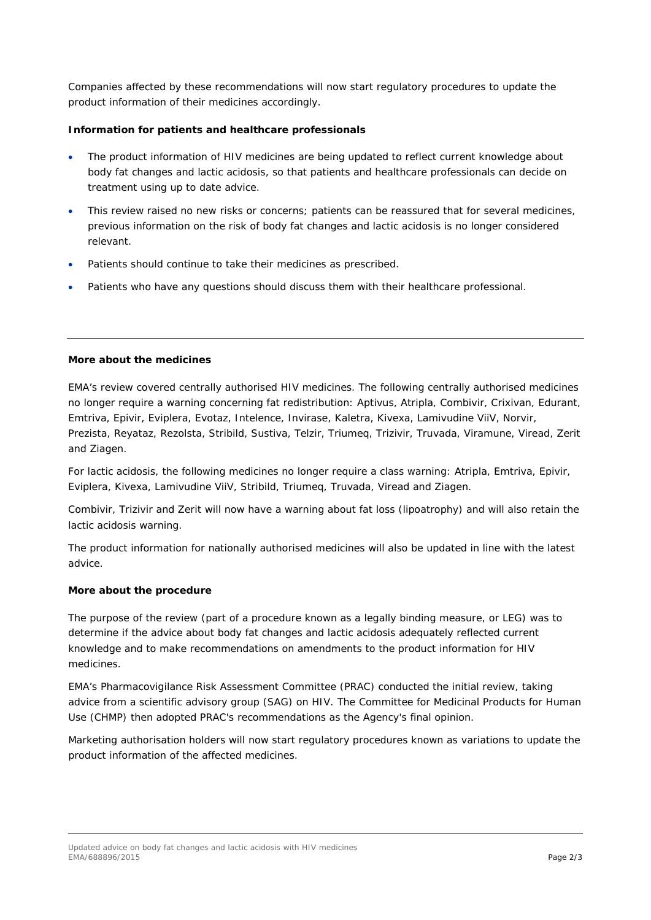Companies affected by these recommendations will now start regulatory procedures to update the product information of their medicines accordingly.

#### **Information for patients and healthcare professionals**

- The product information of HIV medicines are being updated to reflect current knowledge about body fat changes and lactic acidosis, so that patients and healthcare professionals can decide on treatment using up to date advice.
- This review raised no new risks or concerns; patients can be reassured that for several medicines, previous information on the risk of body fat changes and lactic acidosis is no longer considered relevant.
- Patients should continue to take their medicines as prescribed.
- Patients who have any questions should discuss them with their healthcare professional.

### **More about the medicines**

EMA's review covered centrally authorised HIV medicines. The following centrally authorised medicines no longer require a warning concerning fat redistribution: Aptivus, Atripla, Combivir, Crixivan, Edurant, Emtriva, Epivir, Eviplera, Evotaz, Intelence, Invirase, Kaletra, Kivexa, Lamivudine ViiV, Norvir, Prezista, Reyataz, Rezolsta, Stribild, Sustiva, Telzir, Triumeq, Trizivir, Truvada, Viramune, Viread, Zerit and Ziagen.

For lactic acidosis, the following medicines no longer require a class warning: Atripla, Emtriva, Epivir, Eviplera, Kivexa, Lamivudine ViiV, Stribild, Triumeq, Truvada, Viread and Ziagen.

Combivir, Trizivir and Zerit will now have a warning about fat loss (lipoatrophy) and will also retain the lactic acidosis warning.

The product information for nationally authorised medicines will also be updated in line with the latest advice.

#### **More about the procedure**

The purpose of the review (part of a procedure known as a legally binding measure, or LEG) was to determine if the advice about body fat changes and lactic acidosis adequately reflected current knowledge and to make recommendations on amendments to the product information for HIV medicines.

EMA's Pharmacovigilance Risk Assessment Committee (PRAC) conducted the initial review, taking advice from a scientific advisory group (SAG) on HIV. The Committee for Medicinal Products for Human Use (CHMP) then adopted PRAC's recommendations as the Agency's final opinion.

Marketing authorisation holders will now start regulatory procedures known as variations to update the product information of the affected medicines.